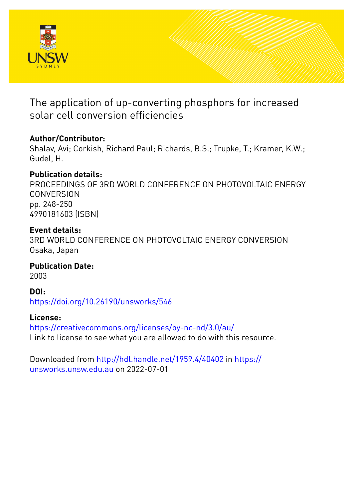

The application of up-converting phosphors for increased solar cell conversion efficiencies

# **Author/Contributor:**

Shalav, Avi; Corkish, Richard Paul; Richards, B.S.; Trupke, T.; Kramer, K.W.; Gudel, H.

# **Publication details:**

PROCEEDINGS OF 3RD WORLD CONFERENCE ON PHOTOVOLTAIC ENERGY **CONVERSION** pp. 248-250 4990181603 (ISBN)

# **Event details:**

3RD WORLD CONFERENCE ON PHOTOVOLTAIC ENERGY CONVERSION Osaka, Japan

**Publication Date:** 2003

**DOI:**

[https://doi.org/10.26190/unsworks/546](http://dx.doi.org/https://doi.org/10.26190/unsworks/546)

# **License:**

<https://creativecommons.org/licenses/by-nc-nd/3.0/au/> Link to license to see what you are allowed to do with this resource.

Downloaded from <http://hdl.handle.net/1959.4/40402> in [https://](https://unsworks.unsw.edu.au) [unsworks.unsw.edu.au](https://unsworks.unsw.edu.au) on 2022-07-01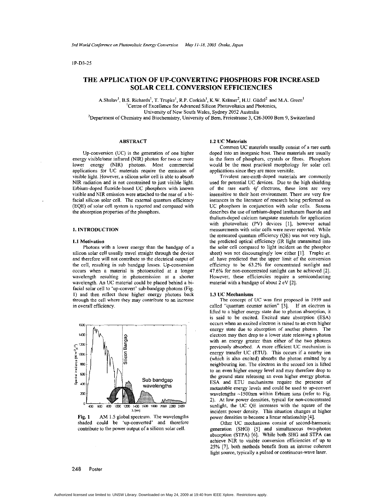# 1P-D3-25

# **THE APPLICATION OF UP-CONVERTING PHOSPHORS FOR INCREASED SOLAR CELL CONVERSION EFFICIENCIES**

A.Shalav<sup>1</sup>, B.S. Richards<sup>1</sup>, T. Trupke<sup>1</sup>, R.P. Corkish<sup>1</sup>, K.W. Krämer<sup>2</sup>, H.U. Güdel<sup>2</sup> and M.A. Green<sup>1</sup> 'Centre of Excellence for Advanced Silicon Photovoltaics and Photonics, University of New South Wales, Sydney **2052** Australia <sup>2</sup>Department of Chemistry and Biochemistry, University of Bern, Freiestrasse 3, CH-3000 Bern 9, Switzerland

#### **ABSTRACT**

Up-conversion (UC) is the generation of one higher energy visible/near infrared (NIR) photon for two or more lower energy (NIR) photons. Most commercial applications for UC materials require the emission of visible light. However, a silicon solar cell is able to absorb NIR radiation and is not constrained to just visible light. Erbium-doped fluoride-based UC phosphors with known visible and NIR emission were attached to the rear of a bifacial silicon solar cell. The external quantum efficiency (EQE) of solar cell system is reported and compared with the absorption properties of the phosphors.

#### **1. INTRODUCTION**

### **1.1** Motivation

Photons with a lower energy than the bandgap of a silicon solar cell usually travel straight through the device and therefore will not contribute to the electrical output of the cell, resulting in sub bandgap losses. Up-conversion occurs when a material is photoexcited at a longer wavelength resulting in photoemission at a shorter wavelength. **An** UC material could he placed behind a bifacial solar cell to 'up-convert' suh-bandgap photons (Fig. **I)** and then reflect these higher energy photons hack through the cell where they may contribute to an increase in overall efficiency.



Fig. **1** AM **1.5** global spectrum. The wavelengths shaded could be 'up-converted' and therefore contribute to the power output of a silicon solar cell.

### **1.2 UC** Materials

Common UC materials usually consist of a rare earth doped into an inorganic host. These materials are usually in the form of phosphors, crystals or fibres. Phosphors would be the most practical morphology for solar cell applications since they are more versitile.

Trivalent rare-earth-doped materials are commonly used for potential UC devices. Due to the high shielding of the rare earth *4f* electrons, these ions are very insensitive to their host environment. There are very few instances in the literature of research being performed on UC phosphors in conjunction with solar cells. Saxena describes the use of terbium-doped lanthanum fluoride and thulium-doped calcium tungstate materials for application with photovoltaic (PV) devices [I], however actual measurements with solar cells were never reported. While the measured quantum efficiency (QE) was not very high, the predicted optical efficiency (IR light transmitted into the solar cell compared to light incident on the phosphor sheet) was not discouragingly low either **[I].** Trupke *et. a/.* have predicted that the upper limit of the conversion eficiency to be *63.2%* for concentrated sunlight and 47.6% for non-concentrated sunlight can be achieved **[2].**  However, these efficiencies require a semiconducting material with a bandgap of about **2** eV [Z].

### **1.3 UC** Mechanisms

The concept of **UC** was first proposed in 1959 and called "quantum counter action" **[3].** If an electron is lifted to a higher energy state due to photon absorption, it is said to be excited. Excited state absorption (ESA) occurs when an excited electron is raised to an even higher energy state due to absorption of another photon. The electron may then drop to a lower state releasing a photon with an energy greater than either of the two photons previously absorbed. A more efficient UC mechanism is energy transfer UC (ETU). This occurs if a nearby ion (which is also excited) absorbs the photon emitted by a neighbouring ion. The electron in the second ion is lifted to an even higher energy level and may therefore drop to the ground state releasing an even higher energy photon. ESA and ETU mechanisms require the presence of metastable energy levels and could be used to up-convert wavelengths -1500nm within Erbium ions (refer to Fig. **2).** At low power densities, typical for non-concentrated sunlight, the UC QE increases with the square of the incident power density. This situation changes at higher power densities to become a linear relationship **[4].** 

Other UC mechanisms consist of second-harmonic generation (SHG) *[5]* and simultaneous two-photon absorption (STPA) <sup>[6]</sup>. While both SHG and STPA can achieve NIR to visible conversion efficiencies of up to *25%* **[7],** both methods benefit from an intense coherent light source, typically a pulsed or continuous-wave laser.

# **248 Poster**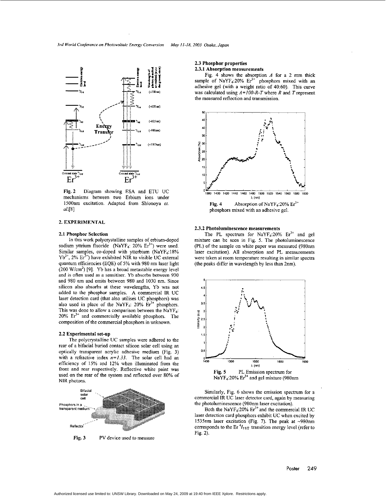

**Fig.2** Diagram showing ESA and ETU **UC**  mechanisms between two Erbium ions under 1500nm excitation. Adapted from Shionoya *et al.[8]* 

# **2. EXPERIMENTAL**

### **2.1 Phosphor Selection**

In this work polycrystalline samples of erbium-doped sodium yttrium fluoride (NaYF<sub>4</sub>: 20% Er<sup>3+</sup>) were used. Similar samples, co-doped with ytterbium  $(NaYF<sub>4</sub>:18%)$  $Yb^{3+}$ , 2%  $Er^{3+}$ ) have exhibited NIR to visible UC external quantum efficiencies (EQE) of *5%* with 980 nm laser light  $(200 \text{ W/cm}^2)$  [9]. Yb has a broad metastable energy level **and is** often used as a sensitiser. yb absorbs **between** 930 and 980 nm and emits between 980 and 1030 nm. Since silicon also absorbs at these wavelengths, Yb was not added to the phosphor samples. **A** commercial IR UC laser detection card (that also utilises UC phosphors) was also used in place of the NaYF<sub>4</sub>: 20%  $Er<sup>3+</sup>$  phosphors. This was done to allow a comparison between the NaYF<sub>4</sub>:  $20\%$  Er<sup>3+</sup> and commercially available phosphors. The composition of the commercial phosphors in unknown.

# **2.2 Experimental set-up**

The polycrystalline UC samples were adhered to the rear of a bifacial buried contact silicon solar cell using an optically transparent acrylic adhesive medium (Fig. 3) with a refractive index *n=1.33.* The solar cell had an efficiency of 15% and **12%** when illuminated from the front and **rear** respectively. Reflective white paint was used on the rear of the system and reflected over 80% of NIR photons.



**Fig. 3 PV** device used to measure

# **2.3 Phosphor properties 2.3.1 Absorption measurements**

Fig. 4 shows the absorption *A* for a 2 mm thick sample of  $NaYF_4:20\%$   $Er^{3+}$  phosphors mixed with an adhesive gel (with a weight ratio of **40:60).** This curve was calculated using *A=lOO-R-T* where *R* and *T* represent the measured reflection and transmission.



# **2.3.2 Photoluminescence measurements**

The PL spectrum for  $NaYF_4:20\%$   $Er^{3+}$  and gel mixture can be seen in Fig. *5.* The photoluminescence (PL) of the sample on white paper was measured (980nm laser excitation). **All** absorption and PL measurements were taken at room temperature resulting in similar spectra (the peaks differ in wavelength hy less than 2nm).



Similarly, [Fig.](#page-3-0) *6* shows the emission spectrum for a commercial **IR** UC laser detector card, again by measuring the photoluminescence (980nm laser excitation).

Both the NaYF<sub>4</sub>:20%  $Er<sup>3+</sup>$  and the commercial IR UC laser detection card phosphors exhibit UC when excited by 1535nm laser excitation (Fig. **7).** The peak at **-980nm**  corresponds to the Er *'/11/2* transition energy level (refer to **Fig.** 2).